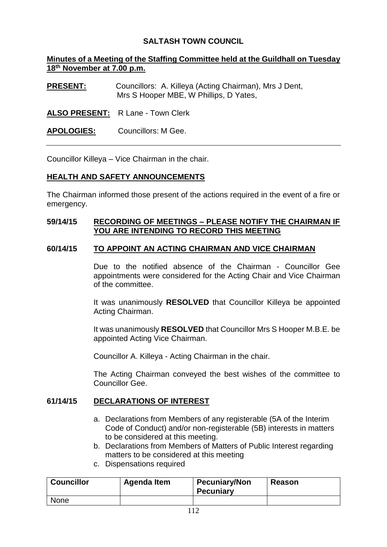## **SALTASH TOWN COUNCIL**

## **Minutes of a Meeting of the Staffing Committee held at the Guildhall on Tuesday 18th November at 7.00 p.m.**

**PRESENT:** Councillors: A. Killeya (Acting Chairman), Mrs J Dent, Mrs S Hooper MBE, W Phillips, D Yates,

**ALSO PRESENT:** R Lane - Town Clerk

**APOLOGIES:** Councillors: M Gee.

Councillor Killeya – Vice Chairman in the chair.

#### **HEALTH AND SAFETY ANNOUNCEMENTS**

The Chairman informed those present of the actions required in the event of a fire or emergency.

## **59/14/15 RECORDING OF MEETINGS – PLEASE NOTIFY THE CHAIRMAN IF YOU ARE INTENDING TO RECORD THIS MEETING**

#### **60/14/15 TO APPOINT AN ACTING CHAIRMAN AND VICE CHAIRMAN**

Due to the notified absence of the Chairman - Councillor Gee appointments were considered for the Acting Chair and Vice Chairman of the committee.

It was unanimously **RESOLVED** that Councillor Killeya be appointed Acting Chairman.

It was unanimously **RESOLVED** that Councillor Mrs S Hooper M.B.E. be appointed Acting Vice Chairman.

Councillor A. Killeya - Acting Chairman in the chair.

The Acting Chairman conveyed the best wishes of the committee to Councillor Gee.

### **61/14/15 DECLARATIONS OF INTEREST**

- a. Declarations from Members of any registerable (5A of the Interim Code of Conduct) and/or non-registerable (5B) interests in matters to be considered at this meeting.
- b. Declarations from Members of Matters of Public Interest regarding matters to be considered at this meeting
- c. Dispensations required

| <b>Councillor</b> | Agenda Item | <b>Pecuniary/Non</b><br><b>Pecuniary</b> | <b>Reason</b> |
|-------------------|-------------|------------------------------------------|---------------|
| <b>None</b>       |             |                                          |               |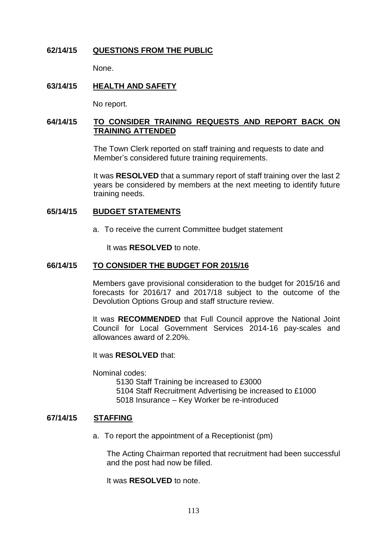## **62/14/15 QUESTIONS FROM THE PUBLIC**

None.

## **63/14/15 HEALTH AND SAFETY**

No report.

## **64/14/15 TO CONSIDER TRAINING REQUESTS AND REPORT BACK ON TRAINING ATTENDED**

The Town Clerk reported on staff training and requests to date and Member's considered future training requirements.

It was **RESOLVED** that a summary report of staff training over the last 2 years be considered by members at the next meeting to identify future training needs.

### **65/14/15 BUDGET STATEMENTS**

a. To receive the current Committee budget statement

It was **RESOLVED** to note.

#### **66/14/15 TO CONSIDER THE BUDGET FOR 2015/16**

Members gave provisional consideration to the budget for 2015/16 and forecasts for 2016/17 and 2017/18 subject to the outcome of the Devolution Options Group and staff structure review.

It was **RECOMMENDED** that Full Council approve the National Joint Council for Local Government Services 2014-16 pay-scales and allowances award of 2.20%.

It was **RESOLVED** that:

Nominal codes:

5130 Staff Training be increased to £3000 5104 Staff Recruitment Advertising be increased to £1000 5018 Insurance – Key Worker be re-introduced

#### **67/14/15 STAFFING**

a. To report the appointment of a Receptionist (pm)

The Acting Chairman reported that recruitment had been successful and the post had now be filled.

It was **RESOLVED** to note.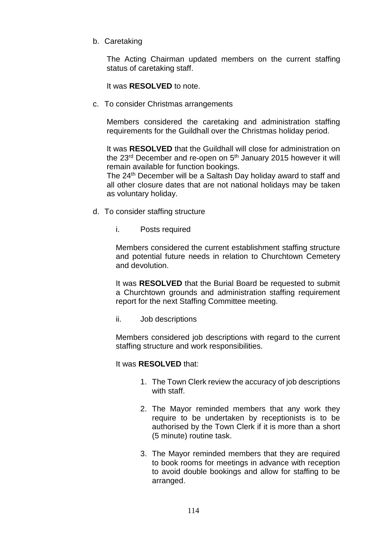b. Caretaking

The Acting Chairman updated members on the current staffing status of caretaking staff.

It was **RESOLVED** to note.

c. To consider Christmas arrangements

Members considered the caretaking and administration staffing requirements for the Guildhall over the Christmas holiday period.

It was **RESOLVED** that the Guildhall will close for administration on the 23<sup>rd</sup> December and re-open on 5<sup>th</sup> January 2015 however it will remain available for function bookings.

The 24<sup>th</sup> December will be a Saltash Day holiday award to staff and all other closure dates that are not national holidays may be taken as voluntary holiday.

- d. To consider staffing structure
	- i. Posts required

Members considered the current establishment staffing structure and potential future needs in relation to Churchtown Cemetery and devolution.

It was **RESOLVED** that the Burial Board be requested to submit a Churchtown grounds and administration staffing requirement report for the next Staffing Committee meeting.

ii. Job descriptions

Members considered job descriptions with regard to the current staffing structure and work responsibilities.

It was **RESOLVED** that:

- 1. The Town Clerk review the accuracy of job descriptions with staff.
- 2. The Mayor reminded members that any work they require to be undertaken by receptionists is to be authorised by the Town Clerk if it is more than a short (5 minute) routine task.
- 3. The Mayor reminded members that they are required to book rooms for meetings in advance with reception to avoid double bookings and allow for staffing to be arranged.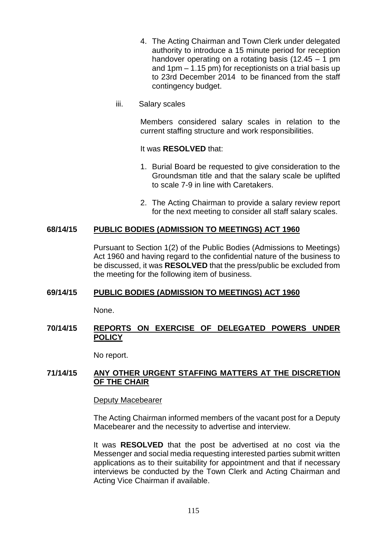- 4. The Acting Chairman and Town Clerk under delegated authority to introduce a 15 minute period for reception handover operating on a rotating basis  $(12.45 - 1$  pm and 1pm – 1.15 pm) for receptionists on a trial basis up to 23rd December 2014 to be financed from the staff contingency budget.
- iii. Salary scales

Members considered salary scales in relation to the current staffing structure and work responsibilities.

#### It was **RESOLVED** that:

- 1. Burial Board be requested to give consideration to the Groundsman title and that the salary scale be uplifted to scale 7-9 in line with Caretakers.
- 2. The Acting Chairman to provide a salary review report for the next meeting to consider all staff salary scales.

## **68/14/15 PUBLIC BODIES (ADMISSION TO MEETINGS) ACT 1960**

Pursuant to Section 1(2) of the Public Bodies (Admissions to Meetings) Act 1960 and having regard to the confidential nature of the business to be discussed, it was **RESOLVED** that the press/public be excluded from the meeting for the following item of business.

### **69/14/15 PUBLIC BODIES (ADMISSION TO MEETINGS) ACT 1960**

None.

## **70/14/15 REPORTS ON EXERCISE OF DELEGATED POWERS UNDER POLICY**

No report.

### **71/14/15 ANY OTHER URGENT STAFFING MATTERS AT THE DISCRETION OF THE CHAIR**

#### Deputy Macebearer

The Acting Chairman informed members of the vacant post for a Deputy Macebearer and the necessity to advertise and interview.

It was **RESOLVED** that the post be advertised at no cost via the Messenger and social media requesting interested parties submit written applications as to their suitability for appointment and that if necessary interviews be conducted by the Town Clerk and Acting Chairman and Acting Vice Chairman if available.